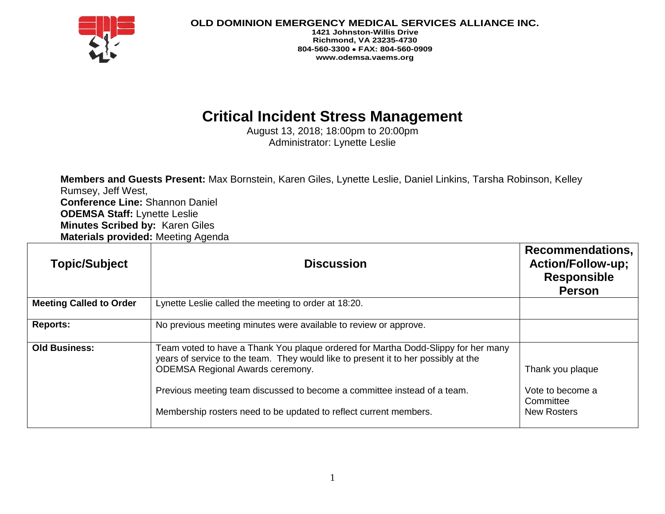

**OLD DOMINION EMERGENCY MEDICAL SERVICES ALLIANCE INC.**

**1421 Johnston-Willis Drive Richmond, VA 23235-4730 804-560-3300 FAX: 804-560-0909 www.odemsa.vaems.org**

## **Critical Incident Stress Management**

August 13, 2018; 18:00pm to 20:00pm Administrator: Lynette Leslie

**Members and Guests Present:** Max Bornstein, Karen Giles, Lynette Leslie, Daniel Linkins, Tarsha Robinson, Kelley Rumsey, Jeff West, **Conference Line:** Shannon Daniel **ODEMSA Staff:** Lynette Leslie **Minutes Scribed by:** Karen Giles **Materials provided:** Meeting Agenda

| <b>Topic/Subject</b>           | <b>Discussion</b>                                                                                                                                                                                                                                                                                                                                                   | Recommendations,<br><b>Action/Follow-up;</b><br><b>Responsible</b><br><b>Person</b> |
|--------------------------------|---------------------------------------------------------------------------------------------------------------------------------------------------------------------------------------------------------------------------------------------------------------------------------------------------------------------------------------------------------------------|-------------------------------------------------------------------------------------|
| <b>Meeting Called to Order</b> | Lynette Leslie called the meeting to order at 18:20.                                                                                                                                                                                                                                                                                                                |                                                                                     |
| <b>Reports:</b>                | No previous meeting minutes were available to review or approve.                                                                                                                                                                                                                                                                                                    |                                                                                     |
| <b>Old Business:</b>           | Team voted to have a Thank You plaque ordered for Martha Dodd-Slippy for her many<br>years of service to the team. They would like to present it to her possibly at the<br><b>ODEMSA Regional Awards ceremony.</b><br>Previous meeting team discussed to become a committee instead of a team.<br>Membership rosters need to be updated to reflect current members. | Thank you plaque<br>Vote to become a<br>Committee<br><b>New Rosters</b>             |